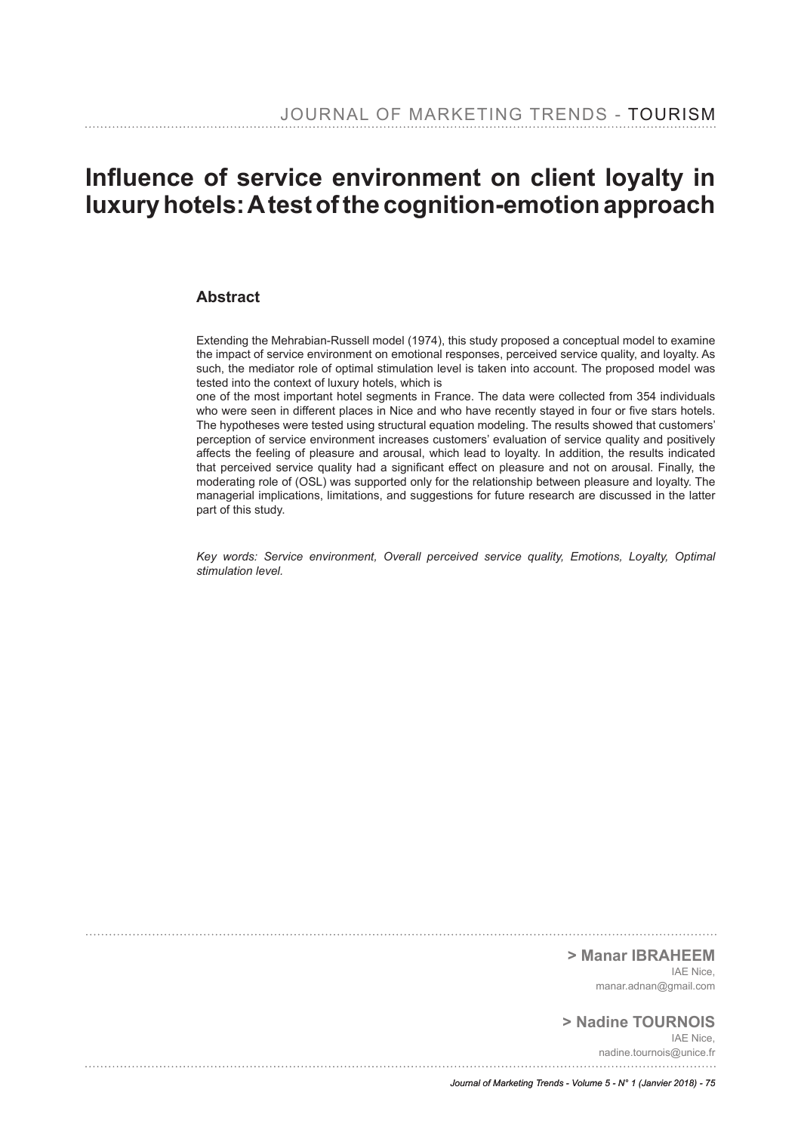# **Infuence of service environment on client loyalty in luxury hotels: A test of the cognition-emotion approach**

# **Abstract**

Extending the Mehrabian-Russell model (1974), this study proposed a conceptual model to examine the impact of service environment on emotional responses, perceived service quality, and loyalty. As such, the mediator role of optimal stimulation level is taken into account. The proposed model was tested into the context of luxury hotels, which is

one of the most important hotel segments in France. The data were collected from 354 individuals who were seen in different places in Nice and who have recently stayed in four or five stars hotels. The hypotheses were tested using structural equation modeling. The results showed that customers' perception of service environment increases customers' evaluation of service quality and positively affects the feeling of pleasure and arousal, which lead to loyalty. In addition, the results indicated that perceived service quality had a signifcant effect on pleasure and not on arousal. Finally, the moderating role of (OSL) was supported only for the relationship between pleasure and loyalty. The managerial implications, limitations, and suggestions for future research are discussed in the latter part of this study.

Key words: Service environment, Overall perceived service quality, Emotions, Loyalty, Optimal *stimulation level.*

**> Manar IBRAHEEM**

IAE Nice, manar.adnan@gmail.com

# **> Nadine TOURNOIS**

IAE Nice, nadine.tournois@unice.fr

*Journal of Marketing Trends - Volume 5 - N° 1 (Janvier 2018) - 75*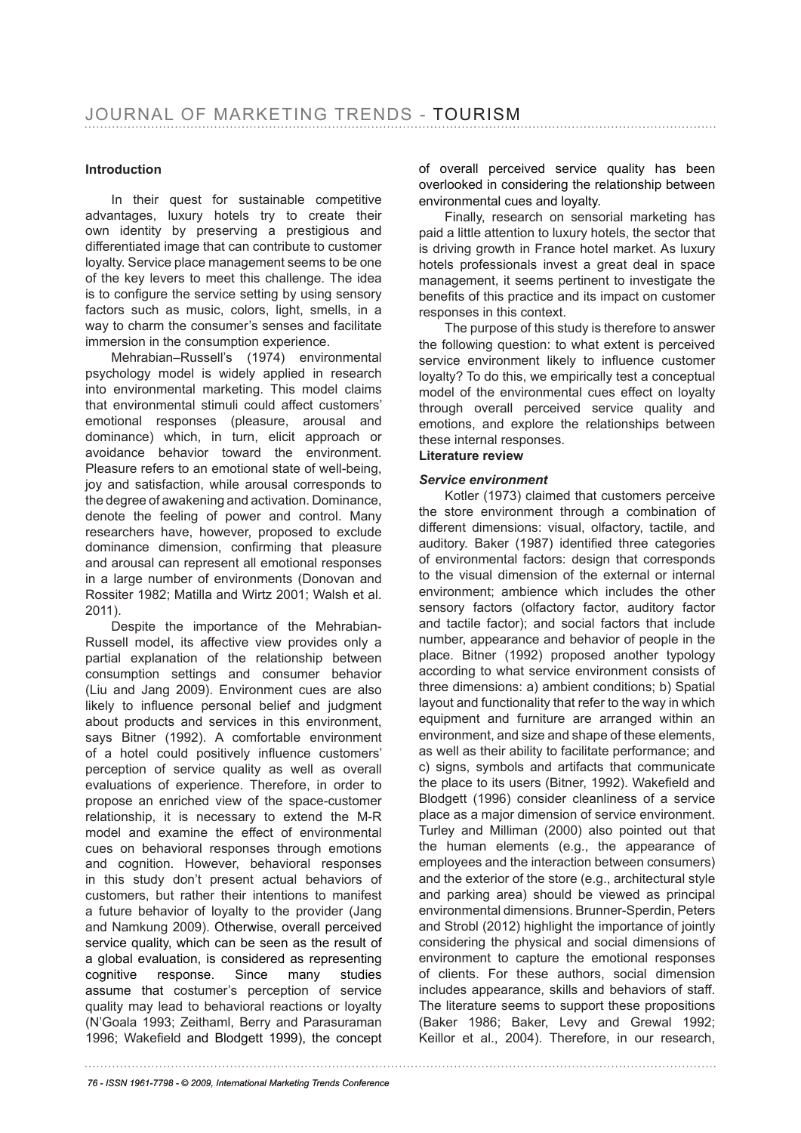# **Introduction**

In their quest for sustainable competitive advantages, luxury hotels try to create their own identity by preserving a prestigious and differentiated image that can contribute to customer loyalty. Service place management seems to be one of the key levers to meet this challenge. The idea is to configure the service setting by using sensory factors such as music, colors, light, smells, in a way to charm the consumer's senses and facilitate immersion in the consumption experience.

Mehrabian–Russell's (1974) environmental psychology model is widely applied in research into environmental marketing. This model claims that environmental stimuli could affect customers' emotional responses (pleasure, arousal and dominance) which, in turn, elicit approach or avoidance behavior toward the environment. Pleasure refers to an emotional state of well-being, joy and satisfaction, while arousal corresponds to the degree of awakening and activation. Dominance, denote the feeling of power and control. Many researchers have, however, proposed to exclude dominance dimension, confrming that pleasure and arousal can represent all emotional responses in a large number of environments (Donovan and Rossiter 1982; Matilla and Wirtz 2001; Walsh et al. 2011).

Despite the importance of the Mehrabian-Russell model, its affective view provides only a partial explanation of the relationship between consumption settings and consumer behavior (Liu and Jang 2009). Environment cues are also likely to infuence personal belief and judgment about products and services in this environment, says Bitner (1992). A comfortable environment of a hotel could positively infuence customers' perception of service quality as well as overall evaluations of experience. Therefore, in order to propose an enriched view of the space-customer relationship, it is necessary to extend the M-R model and examine the effect of environmental cues on behavioral responses through emotions and cognition. However, behavioral responses in this study don't present actual behaviors of customers, but rather their intentions to manifest a future behavior of loyalty to the provider (Jang and Namkung 2009). Otherwise, overall perceived service quality, which can be seen as the result of a global evaluation, is considered as representing cognitive response. Since many studies assume that costumer's perception of service quality may lead to behavioral reactions or loyalty (N'Goala 1993; Zeithaml, Berry and Parasuraman 1996; Wakefield and Blodgett 1999), the concept of overall perceived service quality has been overlooked in considering the relationship between environmental cues and loyalty.

Finally, research on sensorial marketing has paid a little attention to luxury hotels, the sector that is driving growth in France hotel market. As luxury hotels professionals invest a great deal in space management, it seems pertinent to investigate the benefits of this practice and its impact on customer responses in this context.

The purpose of this study is therefore to answer the following question: to what extent is perceived service environment likely to infuence customer loyalty? To do this, we empirically test a conceptual model of the environmental cues effect on loyalty through overall perceived service quality and emotions, and explore the relationships between these internal responses.

## **Literature review**

#### *Service environment*

Kotler (1973) claimed that customers perceive the store environment through a combination of different dimensions: visual, olfactory, tactile, and auditory. Baker (1987) identifed three categories of environmental factors: design that corresponds to the visual dimension of the external or internal environment; ambience which includes the other sensory factors (olfactory factor, auditory factor and tactile factor); and social factors that include number, appearance and behavior of people in the place. Bitner (1992) proposed another typology according to what service environment consists of three dimensions: a) ambient conditions; b) Spatial layout and functionality that refer to the way in which equipment and furniture are arranged within an environment, and size and shape of these elements, as well as their ability to facilitate performance; and c) signs, symbols and artifacts that communicate the place to its users (Bitner, 1992). Wakefield and Blodgett (1996) consider cleanliness of a service place as a major dimension of service environment. Turley and Milliman (2000) also pointed out that the human elements (e.g., the appearance of employees and the interaction between consumers) and the exterior of the store (e.g., architectural style and parking area) should be viewed as principal environmental dimensions. Brunner-Sperdin, Peters and Strobl (2012) highlight the importance of jointly considering the physical and social dimensions of environment to capture the emotional responses of clients. For these authors, social dimension includes appearance, skills and behaviors of staff. The literature seems to support these propositions (Baker 1986; Baker, Levy and Grewal 1992; Keillor et al., 2004). Therefore, in our research,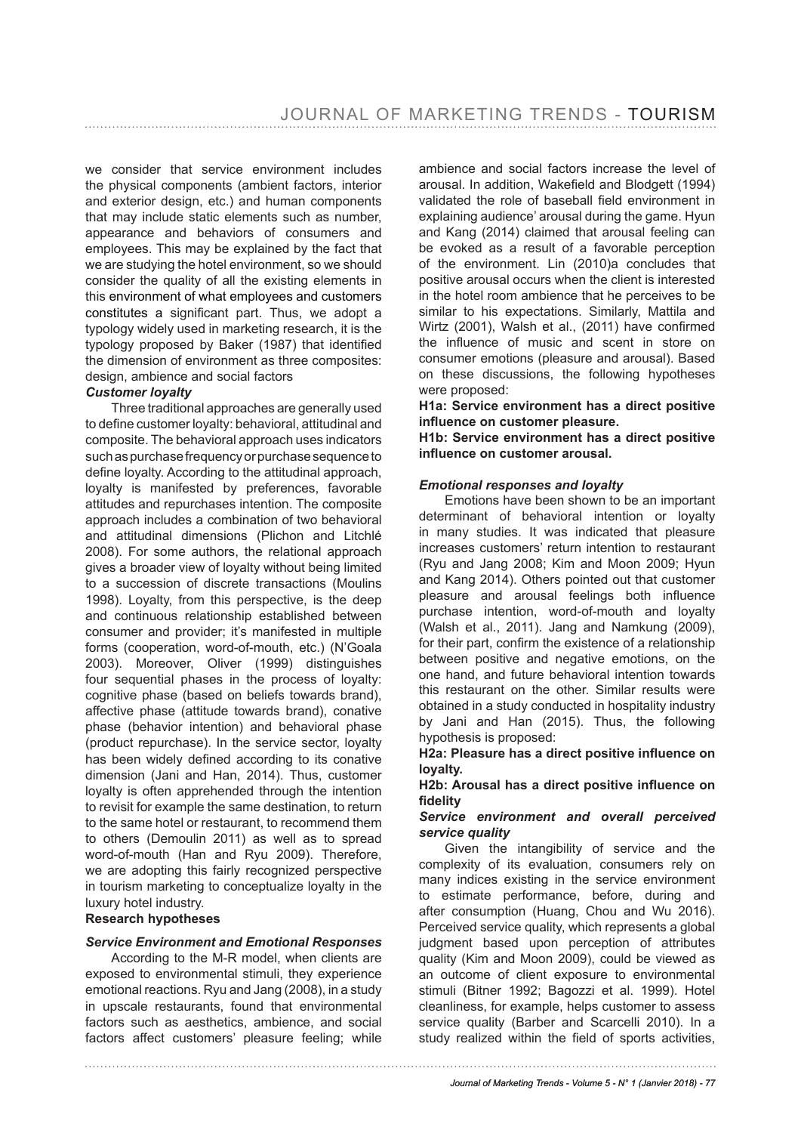we consider that service environment includes the physical components (ambient factors, interior and exterior design, etc.) and human components that may include static elements such as number, appearance and behaviors of consumers and employees. This may be explained by the fact that we are studying the hotel environment, so we should consider the quality of all the existing elements in this environment of what employees and customers constitutes a significant part. Thus, we adopt a typology widely used in marketing research, it is the typology proposed by Baker (1987) that identifed the dimension of environment as three composites: design, ambience and social factors

## *Customer loyalty*

Three traditional approaches are generally used to defne customer loyalty: behavioral, attitudinal and composite. The behavioral approach uses indicators such as purchase frequency or purchase sequence to defne loyalty. According to the attitudinal approach, loyalty is manifested by preferences, favorable attitudes and repurchases intention. The composite approach includes a combination of two behavioral and attitudinal dimensions (Plichon and Litchlé 2008). For some authors, the relational approach gives a broader view of loyalty without being limited to a succession of discrete transactions (Moulins 1998). Loyalty, from this perspective, is the deep and continuous relationship established between consumer and provider; it's manifested in multiple forms (cooperation, word-of-mouth, etc.) (N'Goala 2003). Moreover, Oliver (1999) distinguishes four sequential phases in the process of loyalty: cognitive phase (based on beliefs towards brand), affective phase (attitude towards brand), conative phase (behavior intention) and behavioral phase (product repurchase). In the service sector, loyalty has been widely defned according to its conative dimension (Jani and Han, 2014). Thus, customer loyalty is often apprehended through the intention to revisit for example the same destination, to return to the same hotel or restaurant, to recommend them to others (Demoulin 2011) as well as to spread word-of-mouth (Han and Ryu 2009). Therefore, we are adopting this fairly recognized perspective in tourism marketing to conceptualize loyalty in the luxury hotel industry.

**Research hypotheses**

#### *Service Environment and Emotional Responses*

According to the M-R model, when clients are exposed to environmental stimuli, they experience emotional reactions. Ryu and Jang (2008), in a study in upscale restaurants, found that environmental factors such as aesthetics, ambience, and social factors affect customers' pleasure feeling; while

ambience and social factors increase the level of arousal. In addition, Wakefield and Blodgett (1994) validated the role of baseball field environment in explaining audience' arousal during the game. Hyun and Kang (2014) claimed that arousal feeling can be evoked as a result of a favorable perception of the environment. Lin (2010)a concludes that positive arousal occurs when the client is interested in the hotel room ambience that he perceives to be similar to his expectations. Similarly, Mattila and Wirtz (2001), Walsh et al., (2011) have confrmed the infuence of music and scent in store on consumer emotions (pleasure and arousal). Based on these discussions, the following hypotheses were proposed:

**H1a: Service environment has a direct positive infuence on customer pleasure.**

**H1b: Service environment has a direct positive infuence on customer arousal.**

#### *Emotional responses and loyalty*

Emotions have been shown to be an important determinant of behavioral intention or loyalty in many studies. It was indicated that pleasure increases customers' return intention to restaurant (Ryu and Jang 2008; Kim and Moon 2009; Hyun and Kang 2014). Others pointed out that customer pleasure and arousal feelings both infuence purchase intention, word-of-mouth and loyalty (Walsh et al., 2011). Jang and Namkung (2009), for their part, confrm the existence of a relationship between positive and negative emotions, on the one hand, and future behavioral intention towards this restaurant on the other. Similar results were obtained in a study conducted in hospitality industry by Jani and Han (2015). Thus, the following hypothesis is proposed:

## **H2a: Pleasure has a direct positive infuence on loyalty.**

#### **H2b: Arousal has a direct positive infuence on fidelity**

#### *Service environment and overall perceived service quality*

Given the intangibility of service and the complexity of its evaluation, consumers rely on many indices existing in the service environment to estimate performance, before, during and after consumption (Huang, Chou and Wu 2016). Perceived service quality, which represents a global judgment based upon perception of attributes quality (Kim and Moon 2009), could be viewed as an outcome of client exposure to environmental stimuli (Bitner 1992; Bagozzi et al. 1999). Hotel cleanliness, for example, helps customer to assess service quality (Barber and Scarcelli 2010). In a study realized within the field of sports activities,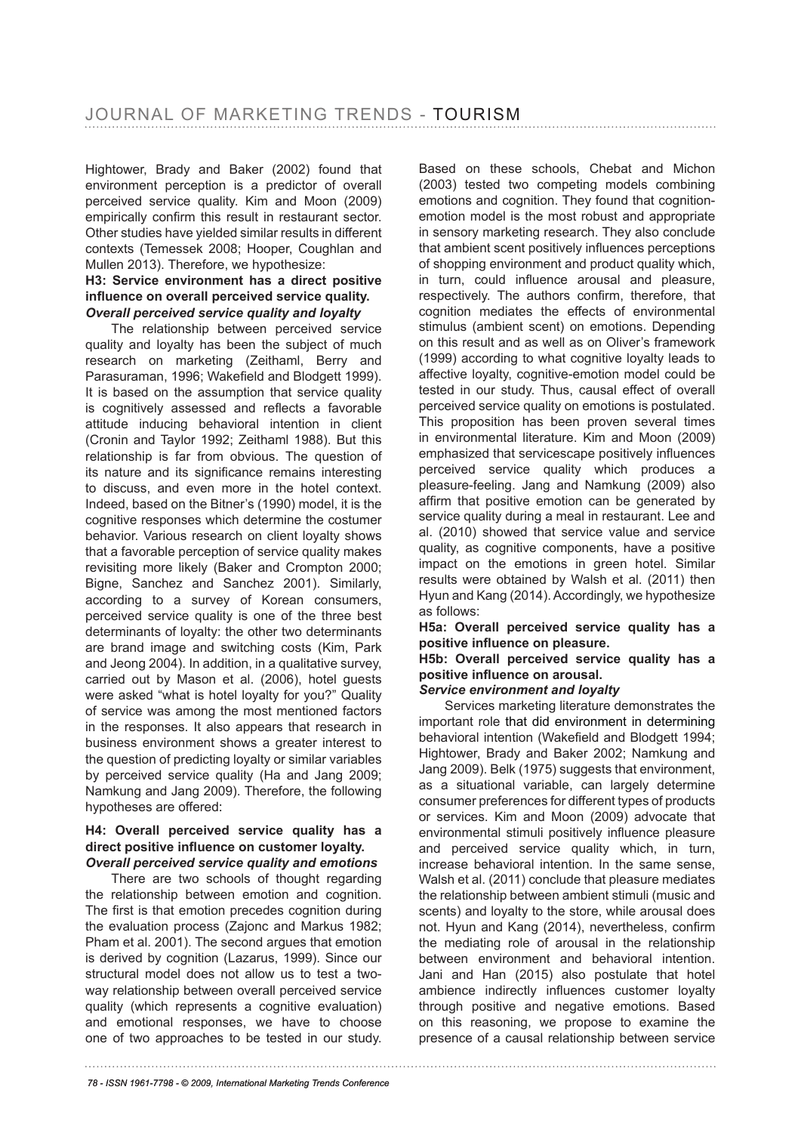Hightower, Brady and Baker (2002) found that environment perception is a predictor of overall perceived service quality. Kim and Moon (2009) empirically confrm this result in restaurant sector. Other studies have yielded similar results in different contexts (Temessek 2008; Hooper, Coughlan and Mullen 2013). Therefore, we hypothesize:

## **H3: Service environment has a direct positive infuence on overall perceived service quality.** *Overall perceived service quality and loyalty*

The relationship between perceived service quality and loyalty has been the subject of much research on marketing (Zeithaml, Berry and Parasuraman, 1996; Wakefield and Blodgett 1999). It is based on the assumption that service quality is cognitively assessed and refects a favorable attitude inducing behavioral intention in client (Cronin and Taylor 1992; Zeithaml 1988). But this relationship is far from obvious. The question of its nature and its signifcance remains interesting to discuss, and even more in the hotel context. Indeed, based on the Bitner's (1990) model, it is the cognitive responses which determine the costumer behavior. Various research on client loyalty shows that a favorable perception of service quality makes revisiting more likely (Baker and Crompton 2000; Bigne, Sanchez and Sanchez 2001). Similarly, according to a survey of Korean consumers, perceived service quality is one of the three best determinants of loyalty: the other two determinants are brand image and switching costs (Kim, Park and Jeong 2004). In addition, in a qualitative survey, carried out by Mason et al. (2006), hotel guests were asked "what is hotel loyalty for you?" Quality of service was among the most mentioned factors in the responses. It also appears that research in business environment shows a greater interest to the question of predicting loyalty or similar variables by perceived service quality (Ha and Jang 2009; Namkung and Jang 2009). Therefore, the following hypotheses are offered:

## **H4: Overall perceived service quality has a direct positive infuence on customer loyalty.** *Overall perceived service quality and emotions*

There are two schools of thought regarding the relationship between emotion and cognition. The first is that emotion precedes cognition during the evaluation process (Zajonc and Markus 1982; Pham et al. 2001). The second argues that emotion is derived by cognition (Lazarus, 1999). Since our structural model does not allow us to test a twoway relationship between overall perceived service quality (which represents a cognitive evaluation) and emotional responses, we have to choose one of two approaches to be tested in our study.

Based on these schools, Chebat and Michon (2003) tested two competing models combining emotions and cognition. They found that cognitionemotion model is the most robust and appropriate in sensory marketing research. They also conclude that ambient scent positively infuences perceptions of shopping environment and product quality which, in turn, could infuence arousal and pleasure, respectively. The authors confrm, therefore, that cognition mediates the effects of environmental stimulus (ambient scent) on emotions. Depending on this result and as well as on Oliver's framework (1999) according to what cognitive loyalty leads to affective loyalty, cognitive-emotion model could be tested in our study. Thus, causal effect of overall perceived service quality on emotions is postulated. This proposition has been proven several times in environmental literature. Kim and Moon (2009) emphasized that servicescape positively infuences perceived service quality which produces a pleasure-feeling. Jang and Namkung (2009) also affrm that positive emotion can be generated by service quality during a meal in restaurant. Lee and al. (2010) showed that service value and service quality, as cognitive components, have a positive impact on the emotions in green hotel. Similar results were obtained by Walsh et al. (2011) then Hyun and Kang (2014). Accordingly, we hypothesize as follows:

**H5a: Overall perceived service quality has a positive infuence on pleasure.**

# **H5b: Overall perceived service quality has a positive infuence on arousal.**

## *Service environment and loyalty*

Services marketing literature demonstrates the important role that did environment in determining behavioral intention (Wakefield and Blodgett 1994; Hightower, Brady and Baker 2002; Namkung and Jang 2009). Belk (1975) suggests that environment, as a situational variable, can largely determine consumer preferences for different types of products or services. Kim and Moon (2009) advocate that environmental stimuli positively infuence pleasure and perceived service quality which, in turn, increase behavioral intention. In the same sense, Walsh et al. (2011) conclude that pleasure mediates the relationship between ambient stimuli (music and scents) and loyalty to the store, while arousal does not. Hyun and Kang (2014), nevertheless, confrm the mediating role of arousal in the relationship between environment and behavioral intention. Jani and Han (2015) also postulate that hotel ambience indirectly infuences customer loyalty through positive and negative emotions. Based on this reasoning, we propose to examine the presence of a causal relationship between service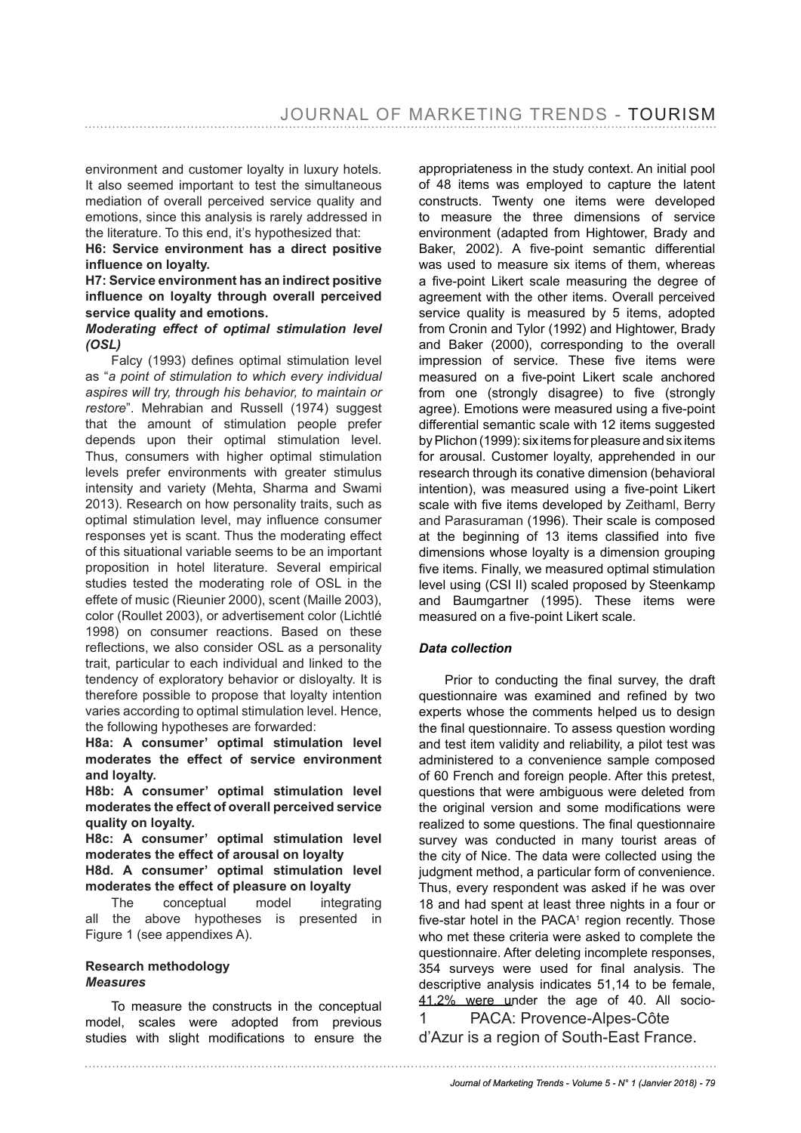environment and customer loyalty in luxury hotels. It also seemed important to test the simultaneous mediation of overall perceived service quality and emotions, since this analysis is rarely addressed in the literature. To this end, it's hypothesized that:

**H6: Service environment has a direct positive infuence on loyalty.**

**H7: Service environment has an indirect positive infuence on loyalty through overall perceived service quality and emotions.**

## *Moderating effect of optimal stimulation level (OSL)*

Falcy (1993) defnes optimal stimulation level as "*a point of stimulation to which every individual aspires will try, through his behavior, to maintain or restore*". Mehrabian and Russell (1974) suggest that the amount of stimulation people prefer depends upon their optimal stimulation level. Thus, consumers with higher optimal stimulation levels prefer environments with greater stimulus intensity and variety (Mehta, Sharma and Swami 2013). Research on how personality traits, such as optimal stimulation level, may infuence consumer responses yet is scant. Thus the moderating effect of this situational variable seems to be an important proposition in hotel literature. Several empirical studies tested the moderating role of OSL in the effete of music (Rieunier 2000), scent (Maille 2003), color (Roullet 2003), or advertisement color (Lichtlé 1998) on consumer reactions. Based on these refections, we also consider OSL as a personality trait, particular to each individual and linked to the tendency of exploratory behavior or disloyalty. It is therefore possible to propose that loyalty intention varies according to optimal stimulation level. Hence, the following hypotheses are forwarded:

**H8a: A consumer' optimal stimulation level moderates the effect of service environment and loyalty.**

**H8b: A consumer' optimal stimulation level moderates the effect of overall perceived service quality on loyalty.**

**H8c: A consumer' optimal stimulation level moderates the effect of arousal on loyalty** 

**H8d. A consumer' optimal stimulation level moderates the effect of pleasure on loyalty**

The conceptual model integrating all the above hypotheses is presented in Figure 1 (see appendixes A).

# **Research methodology** *Measures*

To measure the constructs in the conceptual model, scales were adopted from previous studies with slight modifcations to ensure the

appropriateness in the study context. An initial pool of 48 items was employed to capture the latent constructs. Twenty one items were developed to measure the three dimensions of service environment (adapted from Hightower, Brady and Baker, 2002). A five-point semantic differential was used to measure six items of them, whereas a five-point Likert scale measuring the degree of agreement with the other items. Overall perceived service quality is measured by 5 items, adopted from Cronin and Tylor (1992) and Hightower, Brady and Baker (2000), corresponding to the overall impression of service. These five items were measured on a fve-point Likert scale anchored from one (strongly disagree) to five (strongly agree). Emotions were measured using a five-point differential semantic scale with 12 items suggested by Plichon (1999): six items for pleasure and six items for arousal. Customer loyalty, apprehended in our research through its conative dimension (behavioral intention), was measured using a five-point Likert scale with five items developed by Zeithaml, Berry and Parasuraman (1996). Their scale is composed at the beginning of 13 items classified into five dimensions whose loyalty is a dimension grouping fve items. Finally, we measured optimal stimulation level using (CSI II) scaled proposed by Steenkamp and Baumgartner (1995). These items were measured on a five-point Likert scale.

## *Data collection*

Prior to conducting the fnal survey, the draft questionnaire was examined and refned by two experts whose the comments helped us to design the fnal questionnaire. To assess question wording and test item validity and reliability, a pilot test was administered to a convenience sample composed of 60 French and foreign people. After this pretest, questions that were ambiguous were deleted from the original version and some modifcations were realized to some questions. The final questionnaire survey was conducted in many tourist areas of the city of Nice. The data were collected using the judgment method, a particular form of convenience. Thus, every respondent was asked if he was over 18 and had spent at least three nights in a four or five-star hotel in the PACA $1$  region recently. Those who met these criteria were asked to complete the questionnaire. After deleting incomplete responses, 354 surveys were used for fnal analysis. The descriptive analysis indicates 51,14 to be female, 41.2% were under the age of 40. All socio-

1 PACA: Provence-Alpes-Côte d'Azur is a region of South-East France.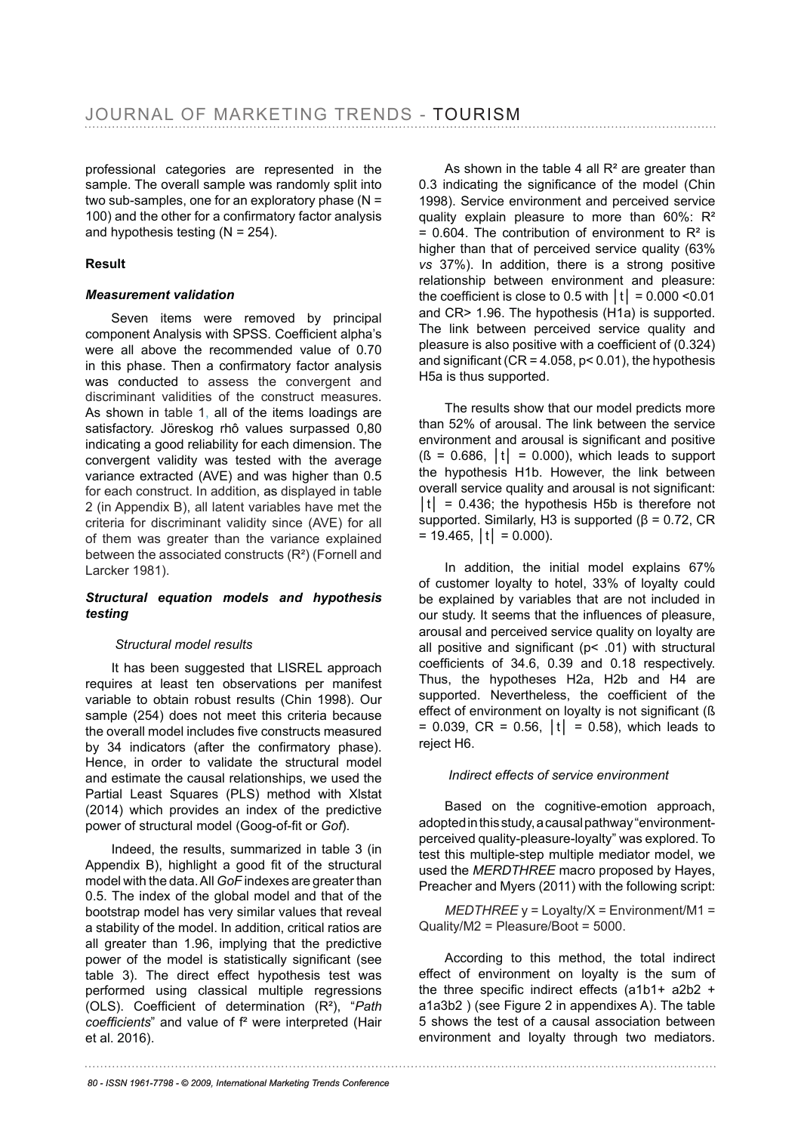professional categories are represented in the sample. The overall sample was randomly split into two sub-samples, one for an exploratory phase (N = 100) and the other for a confrmatory factor analysis and hypothesis testing  $(N = 254)$ .

## **Result**

## *Measurement validation*

Seven items were removed by principal component Analysis with SPSS. Coefficient alpha's were all above the recommended value of 0.70 in this phase. Then a confrmatory factor analysis was conducted to assess the convergent and discriminant validities of the construct measures. As shown in table 1, all of the items loadings are satisfactory. Jöreskog rhô values surpassed 0,80 indicating a good reliability for each dimension. The convergent validity was tested with the average variance extracted (AVE) and was higher than 0.5 for each construct. In addition, as displayed in table 2 (in Appendix B), all latent variables have met the criteria for discriminant validity since (AVE) for all of them was greater than the variance explained between the associated constructs (R²) (Fornell and Larcker 1981).

# *Structural equation models and hypothesis testing*

# *Structural model results*

It has been suggested that LISREL approach requires at least ten observations per manifest variable to obtain robust results (Chin 1998). Our sample (254) does not meet this criteria because the overall model includes five constructs measured by 34 indicators (after the confrmatory phase). Hence, in order to validate the structural model and estimate the causal relationships, we used the Partial Least Squares (PLS) method with Xlstat (2014) which provides an index of the predictive power of structural model (Goog-of-ft or *Gof*).

Indeed, the results, summarized in table 3 (in Appendix B), highlight a good fit of the structural model with the data. All *GoF* indexes are greater than 0.5. The index of the global model and that of the bootstrap model has very similar values that reveal a stability of the model. In addition, critical ratios are all greater than 1.96, implying that the predictive power of the model is statistically significant (see table 3). The direct effect hypothesis test was performed using classical multiple regressions (OLS). Coefficient of determination (R<sup>2</sup>), "Path *coeffcients*" and value of f² were interpreted (Hair et al. 2016).

As shown in the table 4 all  $R<sup>2</sup>$  are greater than 0.3 indicating the significance of the model (Chin 1998). Service environment and perceived service quality explain pleasure to more than 60%: R²  $= 0.604$ . The contribution of environment to R<sup>2</sup> is higher than that of perceived service quality (63% *vs* 37%). In addition, there is a strong positive relationship between environment and pleasure: the coefficient is close to 0.5 with  $|t| = 0.000$  <0.01 and CR> 1.96. The hypothesis (H1a) is supported. The link between perceived service quality and pleasure is also positive with a coefficient of (0.324) and significant ( $CR = 4.058$ ,  $p < 0.01$ ), the hypothesis H5a is thus supported.

The results show that our model predicts more than 52% of arousal. The link between the service environment and arousal is significant and positive  $(S = 0.686, |t| = 0.000)$ , which leads to support the hypothesis H1b. However, the link between overall service quality and arousal is not signifcant:  $|t| = 0.436$ ; the hypothesis H5b is therefore not supported. Similarly, H3 is supported ( $\beta$  = 0.72, CR  $= 19.465, |t| = 0.000$ ).

In addition, the initial model explains 67% of customer loyalty to hotel, 33% of loyalty could be explained by variables that are not included in our study. It seems that the infuences of pleasure, arousal and perceived service quality on loyalty are all positive and signifcant (p< .01) with structural coefficients of 34.6, 0.39 and 0.18 respectively. Thus, the hypotheses H2a, H2b and H4 are supported. Nevertheless, the coefficient of the effect of environment on loyalty is not significant (ß = 0.039, CR = 0.56,  $|t|$  = 0.58), which leads to reject H6.

## *Indirect effects of service environment*

Based on the cognitive-emotion approach, adopted in this study, a causal pathway "environmentperceived quality-pleasure-loyalty" was explored. To test this multiple-step multiple mediator model, we used the *MERDTHREE* macro proposed by Hayes, Preacher and Myers (2011) with the following script:

*MEDTHREE* y = Loyalty/X = Environment/M1 = Quality/M2 = Pleasure/Boot = 5000.

According to this method, the total indirect effect of environment on loyalty is the sum of the three specific indirect effects  $(a1b1 + a2b2 + b1c1)$ a1a3b2 ) (see Figure 2 in appendixes A). The table 5 shows the test of a causal association between environment and loyalty through two mediators.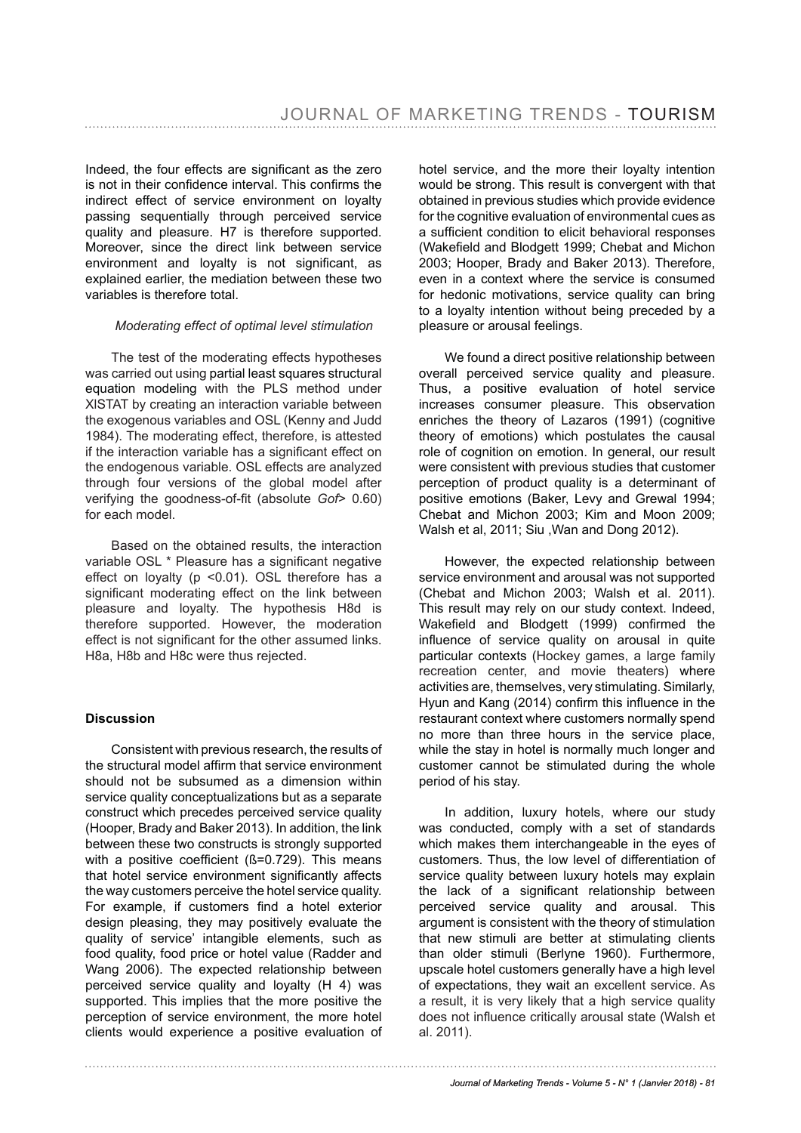Indeed, the four effects are signifcant as the zero is not in their confdence interval. This confrms the indirect effect of service environment on loyalty passing sequentially through perceived service quality and pleasure. H7 is therefore supported. Moreover, since the direct link between service environment and loyalty is not significant, as explained earlier, the mediation between these two variables is therefore total.

#### *Moderating effect of optimal level stimulation*

The test of the moderating effects hypotheses was carried out using partial least squares structural equation modeling with the PLS method under XlSTAT by creating an interaction variable between the exogenous variables and OSL (Kenny and Judd 1984). The moderating effect, therefore, is attested if the interaction variable has a signifcant effect on the endogenous variable. OSL effects are analyzed through four versions of the global model after verifying the goodness-of-ft (absolute *Gof*> 0.60) for each model.

Based on the obtained results, the interaction variable OSL<sup>\*</sup> Pleasure has a significant negative effect on loyalty (p <0.01). OSL therefore has a signifcant moderating effect on the link between pleasure and loyalty. The hypothesis H8d is therefore supported. However, the moderation effect is not significant for the other assumed links. H8a, H8b and H8c were thus rejected.

## **Discussion**

Consistent with previous research, the results of the structural model affirm that service environment should not be subsumed as a dimension within service quality conceptualizations but as a separate construct which precedes perceived service quality (Hooper, Brady and Baker 2013). In addition, the link between these two constructs is strongly supported with a positive coefficient  $(S=0.729)$ . This means that hotel service environment significantly affects the way customers perceive the hotel service quality. For example, if customers find a hotel exterior design pleasing, they may positively evaluate the quality of service' intangible elements, such as food quality, food price or hotel value (Radder and Wang 2006). The expected relationship between perceived service quality and loyalty (H 4) was supported. This implies that the more positive the perception of service environment, the more hotel clients would experience a positive evaluation of

hotel service, and the more their loyalty intention would be strong. This result is convergent with that obtained in previous studies which provide evidence for the cognitive evaluation of environmental cues as a sufficient condition to elicit behavioral responses (Wakefeld and Blodgett 1999; Chebat and Michon 2003; Hooper, Brady and Baker 2013). Therefore, even in a context where the service is consumed for hedonic motivations, service quality can bring to a loyalty intention without being preceded by a pleasure or arousal feelings.

We found a direct positive relationship between overall perceived service quality and pleasure. Thus, a positive evaluation of hotel service increases consumer pleasure. This observation enriches the theory of Lazaros (1991) (cognitive theory of emotions) which postulates the causal role of cognition on emotion. In general, our result were consistent with previous studies that customer perception of product quality is a determinant of positive emotions (Baker, Levy and Grewal 1994; Chebat and Michon 2003; Kim and Moon 2009; Walsh et al, 2011; Siu ,Wan and Dong 2012).

However, the expected relationship between service environment and arousal was not supported (Chebat and Michon 2003; Walsh et al. 2011). This result may rely on our study context. Indeed, Wakefield and Blodgett (1999) confirmed the infuence of service quality on arousal in quite particular contexts (Hockey games, a large family recreation center, and movie theaters) where activities are, themselves, very stimulating. Similarly, Hyun and Kang (2014) confrm this infuence in the restaurant context where customers normally spend no more than three hours in the service place. while the stay in hotel is normally much longer and customer cannot be stimulated during the whole period of his stay.

In addition, luxury hotels, where our study was conducted, comply with a set of standards which makes them interchangeable in the eyes of customers. Thus, the low level of differentiation of service quality between luxury hotels may explain the lack of a signifcant relationship between perceived service quality and arousal. This argument is consistent with the theory of stimulation that new stimuli are better at stimulating clients than older stimuli (Berlyne 1960). Furthermore, upscale hotel customers generally have a high level of expectations, they wait an excellent service. As a result, it is very likely that a high service quality does not infuence critically arousal state (Walsh et al. 2011).

*Journal of Marketing Trends - Volume 5 - N° 1 (Janvier 2018) - 81*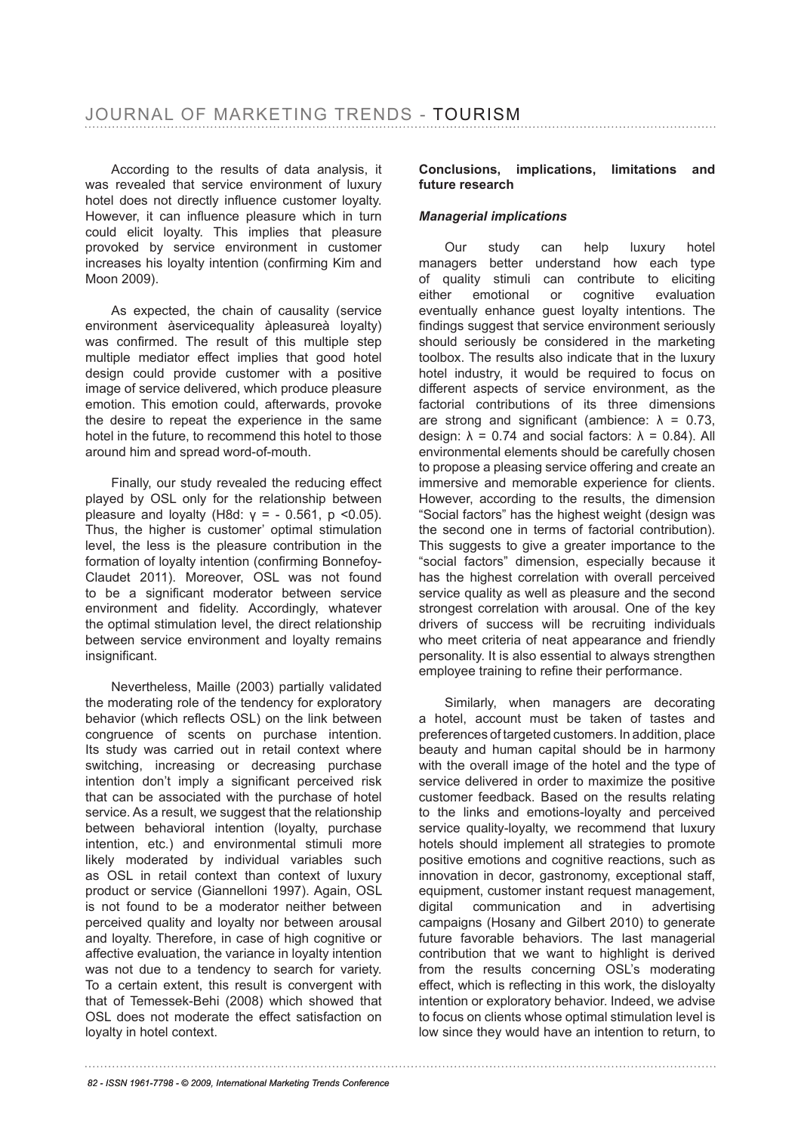According to the results of data analysis, it was revealed that service environment of luxury hotel does not directly infuence customer loyalty. However, it can infuence pleasure which in turn could elicit loyalty. This implies that pleasure provoked by service environment in customer increases his loyalty intention (confrming Kim and Moon 2009).

As expected, the chain of causality (service environment àservicequality àpleasureà loyalty) was confrmed. The result of this multiple step multiple mediator effect implies that good hotel design could provide customer with a positive image of service delivered, which produce pleasure emotion. This emotion could, afterwards, provoke the desire to repeat the experience in the same hotel in the future, to recommend this hotel to those around him and spread word-of-mouth.

Finally, our study revealed the reducing effect played by OSL only for the relationship between pleasure and loyalty (H8d:  $y = -0.561$ , p <0.05). Thus, the higher is customer' optimal stimulation level, the less is the pleasure contribution in the formation of loyalty intention (confrming Bonnefoy-Claudet 2011). Moreover, OSL was not found to be a signifcant moderator between service environment and fdelity. Accordingly, whatever the optimal stimulation level, the direct relationship between service environment and loyalty remains insignificant.

Nevertheless, Maille (2003) partially validated the moderating role of the tendency for exploratory behavior (which refects OSL) on the link between congruence of scents on purchase intention. Its study was carried out in retail context where switching, increasing or decreasing purchase intention don't imply a significant perceived risk that can be associated with the purchase of hotel service. As a result, we suggest that the relationship between behavioral intention (loyalty, purchase intention, etc.) and environmental stimuli more likely moderated by individual variables such as OSL in retail context than context of luxury product or service (Giannelloni 1997). Again, OSL is not found to be a moderator neither between perceived quality and loyalty nor between arousal and loyalty. Therefore, in case of high cognitive or affective evaluation, the variance in loyalty intention was not due to a tendency to search for variety. To a certain extent, this result is convergent with that of Temessek-Behi (2008) which showed that OSL does not moderate the effect satisfaction on loyalty in hotel context.

# **Conclusions, implications, limitations and future research**

# *Managerial implications*

Our study can help luxury hotel managers better understand how each type of quality stimuli can contribute to eliciting either emotional or cognitive evaluation eventually enhance guest loyalty intentions. The fndings suggest that service environment seriously should seriously be considered in the marketing toolbox. The results also indicate that in the luxury hotel industry, it would be required to focus on different aspects of service environment, as the factorial contributions of its three dimensions are strong and significant (ambience:  $\lambda = 0.73$ , design:  $\lambda = 0.74$  and social factors:  $\lambda = 0.84$ ). All environmental elements should be carefully chosen to propose a pleasing service offering and create an immersive and memorable experience for clients. However, according to the results, the dimension "Social factors" has the highest weight (design was the second one in terms of factorial contribution). This suggests to give a greater importance to the "social factors" dimension, especially because it has the highest correlation with overall perceived service quality as well as pleasure and the second strongest correlation with arousal. One of the key drivers of success will be recruiting individuals who meet criteria of neat appearance and friendly personality. It is also essential to always strengthen employee training to refne their performance.

Similarly, when managers are decorating a hotel, account must be taken of tastes and preferences of targeted customers. In addition, place beauty and human capital should be in harmony with the overall image of the hotel and the type of service delivered in order to maximize the positive customer feedback. Based on the results relating to the links and emotions-loyalty and perceived service quality-loyalty, we recommend that luxury hotels should implement all strategies to promote positive emotions and cognitive reactions, such as innovation in decor, gastronomy, exceptional staff, equipment, customer instant request management, digital communication and in advertising campaigns (Hosany and Gilbert 2010) to generate future favorable behaviors. The last managerial contribution that we want to highlight is derived from the results concerning OSL's moderating effect, which is refecting in this work, the disloyalty intention or exploratory behavior. Indeed, we advise to focus on clients whose optimal stimulation level is low since they would have an intention to return, to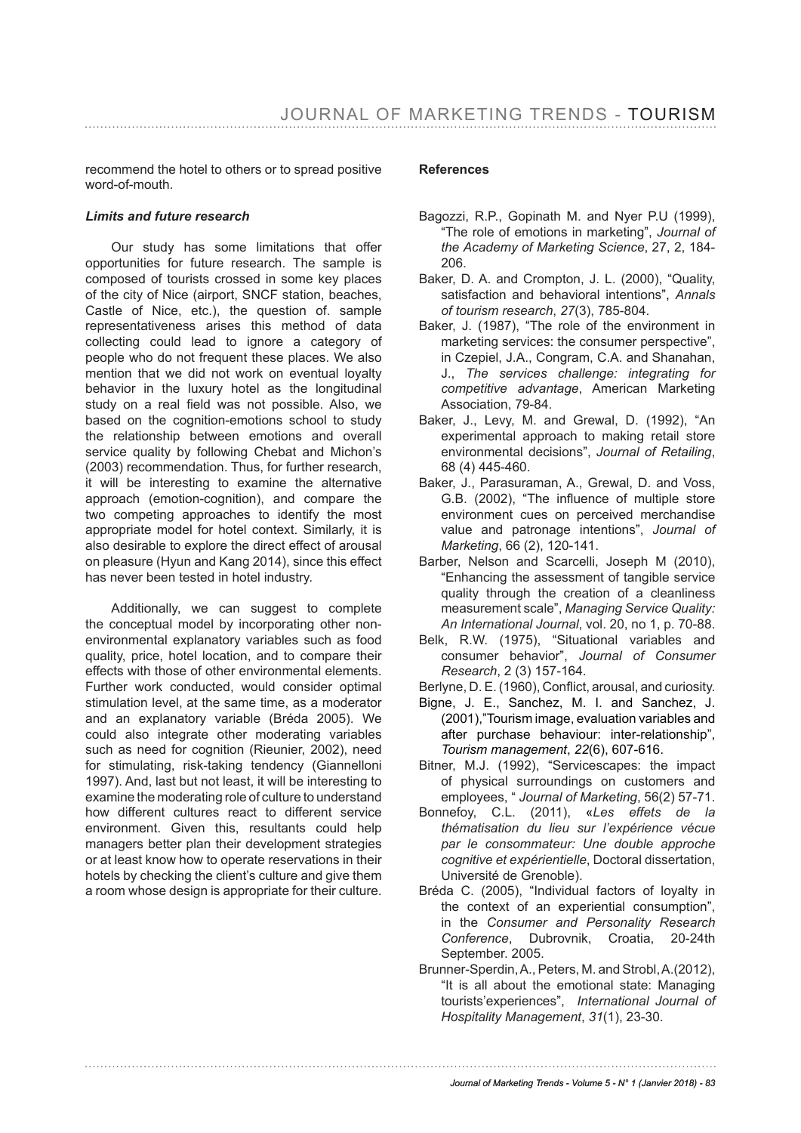recommend the hotel to others or to spread positive word-of-mouth.

## *Limits and future research*

Our study has some limitations that offer opportunities for future research. The sample is composed of tourists crossed in some key places of the city of Nice (airport, SNCF station, beaches, Castle of Nice, etc.), the question of. sample representativeness arises this method of data collecting could lead to ignore a category of people who do not frequent these places. We also mention that we did not work on eventual loyalty behavior in the luxury hotel as the longitudinal study on a real field was not possible. Also, we based on the cognition-emotions school to study the relationship between emotions and overall service quality by following Chebat and Michon's (2003) recommendation. Thus, for further research, it will be interesting to examine the alternative approach (emotion-cognition), and compare the two competing approaches to identify the most appropriate model for hotel context. Similarly, it is also desirable to explore the direct effect of arousal on pleasure (Hyun and Kang 2014), since this effect has never been tested in hotel industry.

Additionally, we can suggest to complete the conceptual model by incorporating other nonenvironmental explanatory variables such as food quality, price, hotel location, and to compare their effects with those of other environmental elements. Further work conducted, would consider optimal stimulation level, at the same time, as a moderator and an explanatory variable (Bréda 2005). We could also integrate other moderating variables such as need for cognition (Rieunier, 2002), need for stimulating, risk-taking tendency (Giannelloni 1997). And, last but not least, it will be interesting to examine the moderating role of culture to understand how different cultures react to different service environment. Given this, resultants could help managers better plan their development strategies or at least know how to operate reservations in their hotels by checking the client's culture and give them a room whose design is appropriate for their culture.

#### **References**

- Bagozzi, R.P., Gopinath M. and Nyer P.U (1999), "The role of emotions in marketing", *Journal of the Academy of Marketing Science*, 27, 2, 184- 206.
- Baker, D. A. and Crompton, J. L. (2000), "Quality, satisfaction and behavioral intentions", *Annals of tourism research*, *27*(3), 785-804.
- Baker, J. (1987), "The role of the environment in marketing services: the consumer perspective", in Czepiel, J.A., Congram, C.A. and Shanahan, J., *The services challenge: integrating for competitive advantage*, American Marketing Association, 79-84.
- Baker, J., Levy, M. and Grewal, D. (1992), "An experimental approach to making retail store environmental decisions", *Journal of Retailing*, 68 (4) 445-460.
- Baker, J., Parasuraman, A., Grewal, D. and Voss, G.B. (2002), "The infuence of multiple store environment cues on perceived merchandise value and patronage intentions", *Journal of Marketing*, 66 (2), 120-141.
- Barber, Nelson and Scarcelli, Joseph M (2010), "Enhancing the assessment of tangible service quality through the creation of a cleanliness measurement scale", *Managing Service Quality: An International Journal*, vol. 20, no 1, p. 70-88.
- Belk, R.W. (1975), "Situational variables and consumer behavior", *Journal of Consumer Research*, 2 (3) 157-164.
- Berlyne, D. E. (1960), Confict, arousal, and curiosity.
- Bigne, J. E., Sanchez, M. I. and Sanchez, J. (2001),"Tourism image, evaluation variables and after purchase behaviour: inter-relationship", *Tourism management*, *22*(6), 607-616.
- Bitner, M.J. (1992), "Servicescapes: the impact of physical surroundings on customers and employees, " *Journal of Marketing*, 56(2) 57-71.
- Bonnefoy, C.L. (2011), «*Les effets de la thématisation du lieu sur l'expérience vécue par le consommateur: Une double approche cognitive et expérientielle*, Doctoral dissertation, Université de Grenoble).
- Bréda C. (2005), "Individual factors of loyalty in the context of an experiential consumption", in the *Consumer and Personality Research Conference*, Dubrovnik, Croatia, 20-24th September. 2005.
- Brunner-Sperdin, A., Peters, M. and Strobl, A.(2012), "It is all about the emotional state: Managing tourists'experiences", *International Journal of Hospitality Management*, *31*(1), 23-30.

*Journal of Marketing Trends - Volume 5 - N° 1 (Janvier 2018) - 83*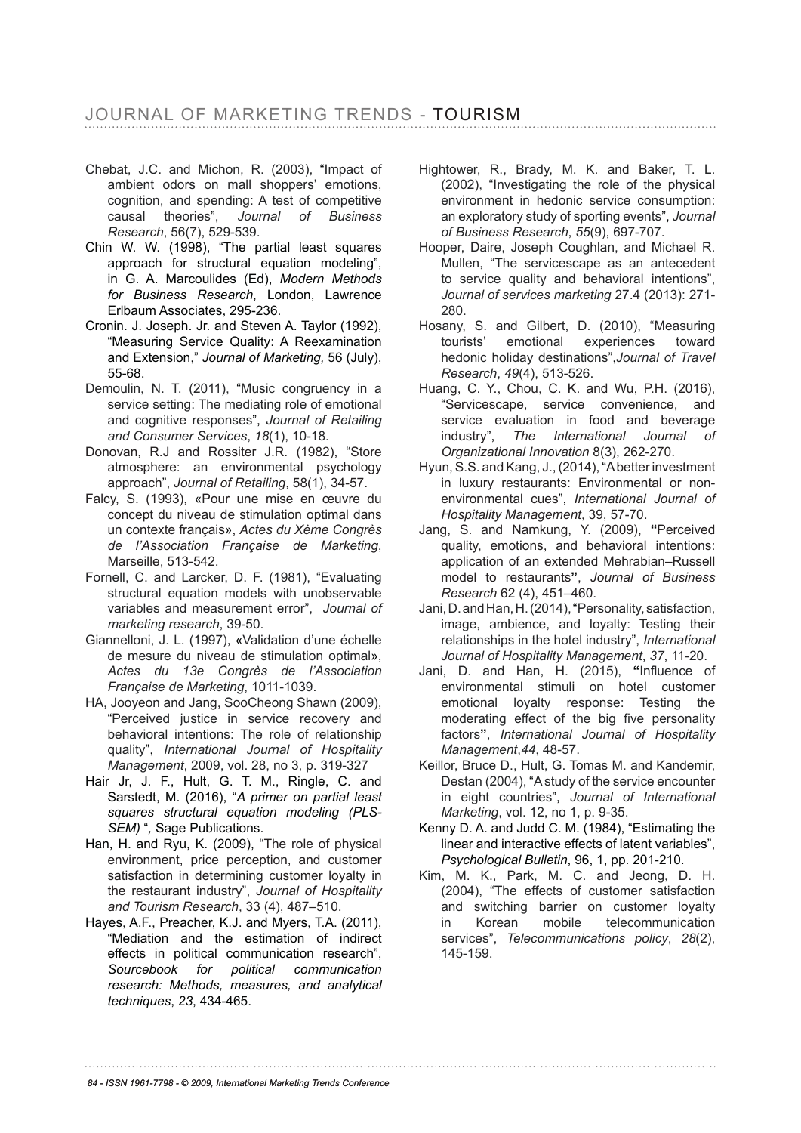- Chebat, J.C. and Michon, R. (2003), "Impact of ambient odors on mall shoppers' emotions, cognition, and spending: A test of competitive<br>causal theories", Journal of Business causal theories", *Journal of Business Research*, 56(7), 529-539.
- Chin W. W. (1998), "The partial least squares approach for structural equation modeling", in G. A. Marcoulides (Ed), *Modern Methods for Business Research*, London, Lawrence Erlbaum Associates, 295-236.
- Cronin. J. Joseph. Jr. and Steven A. Taylor (1992), "Measuring Service Quality: A Reexamination and Extension," *Journal of Marketing,* 56 (July), 55-68.
- Demoulin, N. T. (2011), "Music congruency in a service setting: The mediating role of emotional and cognitive responses", *Journal of Retailing and Consumer Services*, *18*(1), 10-18.
- Donovan, R.J and Rossiter J.R. (1982), "Store atmosphere: an environmental psychology approach", *Journal of Retailing*, 58(1), 34-57.
- Falcy, S. (1993), «Pour une mise en œuvre du concept du niveau de stimulation optimal dans un contexte français», *Actes du Xème Congrès de l'Association Française de Marketing*, Marseille, 513-542.
- Fornell, C. and Larcker, D. F. (1981), "Evaluating structural equation models with unobservable variables and measurement error", *Journal of marketing research*, 39-50.
- Giannelloni, J. L. (1997), «Validation d'une échelle de mesure du niveau de stimulation optimal», *Actes du 13e Congrès de l'Association Française de Marketing*, 1011-1039.
- HA, Jooyeon and Jang, SooCheong Shawn (2009), "Perceived justice in service recovery and behavioral intentions: The role of relationship quality", *International Journal of Hospitality Management*, 2009, vol. 28, no 3, p. 319-327
- Hair Jr, J. F., Hult, G. T. M., Ringle, C. and Sarstedt, M. (2016), "*A primer on partial least squares structural equation modeling (PLS-SEM)* "*,* Sage Publications.
- Han, H. and Ryu, K. (2009), "The role of physical environment, price perception, and customer satisfaction in determining customer loyalty in the restaurant industry", *Journal of Hospitality and Tourism Research*, 33 (4), 487–510.
- Hayes, A.F., Preacher, K.J. and Myers, T.A. (2011), "Mediation and the estimation of indirect effects in political communication research", *Sourcebook for political communication research: Methods, measures, and analytical techniques*, *23*, 434-465.
- Hightower, R., Brady, M. K. and Baker, T. L. (2002), "Investigating the role of the physical environment in hedonic service consumption: an exploratory study of sporting events", *Journal of Business Research*, *55*(9), 697-707.
- Hooper, Daire, Joseph Coughlan, and Michael R. Mullen, "The servicescape as an antecedent to service quality and behavioral intentions", *Journal of services marketing* 27.4 (2013): 271- 280.
- Hosany, S. and Gilbert, D. (2010), "Measuring tourists' emotional experiences toward hedonic holiday destinations",*Journal of Travel Research*, *49*(4), 513-526.
- Huang, C. Y., Chou, C. K. and Wu, P.H. (2016), "Servicescape, service convenience, and service evaluation in food and beverage industry", *The International Journal of Organizational Innovation* 8(3), 262-270.
- Hyun, S.S. and Kang, J., (2014), "A better investment in luxury restaurants: Environmental or nonenvironmental cues", *International Journal of Hospitality Management*, 39, 57-70.
- Jang, S. and Namkung, Y. (2009), **"**Perceived quality, emotions, and behavioral intentions: application of an extended Mehrabian–Russell model to restaurants**"**, *Journal of Business Research* 62 (4), 451–460.
- Jani, D. and Han, H. (2014), "Personality, satisfaction, image, ambience, and loyalty: Testing their relationships in the hotel industry", *International Journal of Hospitality Management*, *37*, 11-20.
- Jani, D. and Han, H. (2015), **"**Infuence of environmental stimuli on hotel customer emotional loyalty response: Testing the moderating effect of the big five personality factors**"**, *International Journal of Hospitality Management*,*44*, 48-57.
- Keillor, Bruce D., Hult, G. Tomas M. and Kandemir, Destan (2004), "A study of the service encounter in eight countries", *Journal of International Marketing*, vol. 12, no 1, p. 9-35.
- Kenny D. A. and Judd C. M. (1984), "Estimating the linear and interactive effects of latent variables", *Psychological Bulletin*, 96, 1, pp. 201-210.
- Kim, M. K., Park, M. C. and Jeong, D. H. (2004), "The effects of customer satisfaction and switching barrier on customer loyalty in Korean mobile telecommunication services", *Telecommunications policy*, *28*(2), 145-159.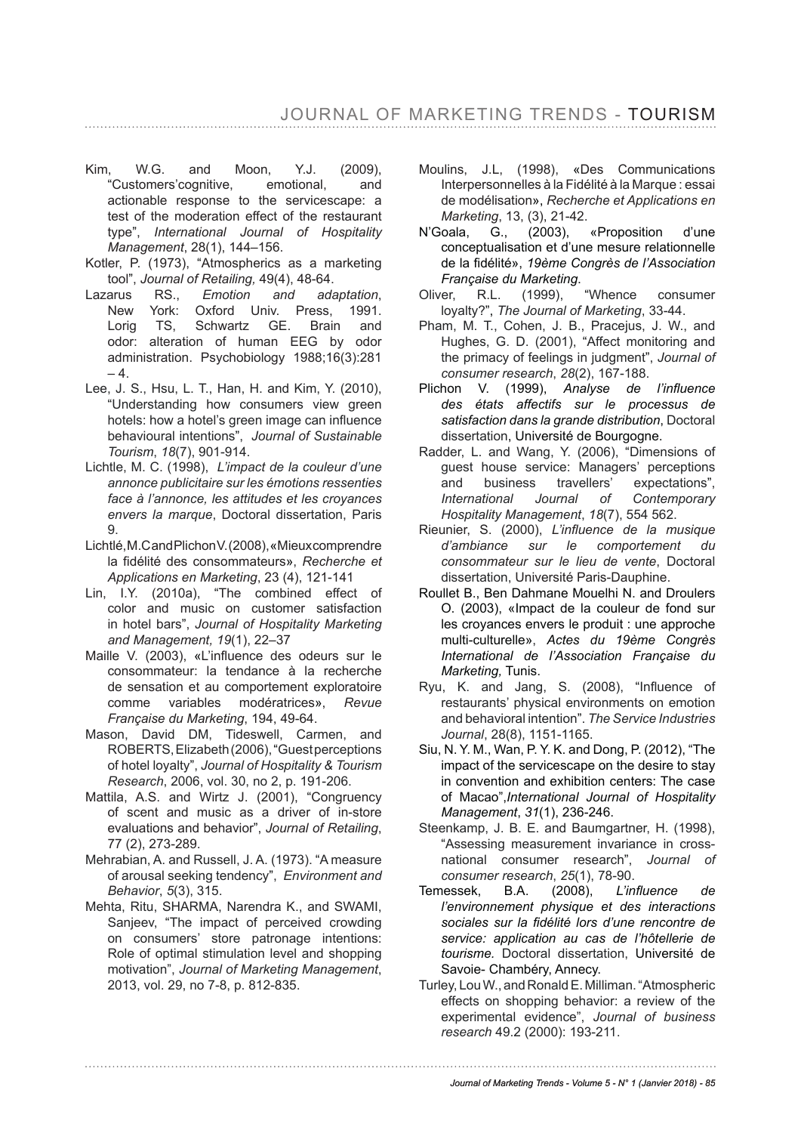- Kim, W.G. and Moon, Y.J. (2009), "Customers'cognitive, emotional, and actionable response to the servicescape: a test of the moderation effect of the restaurant type", *International Journal of Hospitality Management*, 28(1), 144–156.
- Kotler, P. (1973), "Atmospherics as a marketing tool", *Journal of Retailing,* 49(4), 48-64.
- Lazarus RS., *Emotion and adaptation*, New York: Oxford Univ. Press, 1991. Lorig TS, Schwartz GE. Brain and odor: alteration of human EEG by odor administration. Psychobiology 1988;16(3):281  $-4$
- Lee, J. S., Hsu, L. T., Han, H. and Kim, Y. (2010), "Understanding how consumers view green hotels: how a hotel's green image can infuence behavioural intentions", *Journal of Sustainable Tourism*, *18*(7), 901-914.
- Lichtle, M. C. (1998), *L'impact de la couleur d'une annonce publicitaire sur les émotions ressenties face à l'annonce, les attitudes et les croyances envers la marque*, Doctoral dissertation, Paris  $Q_{\text{c}}$
- Lichtlé, M.C and Plichon V. (2008), «Mieux comprendre la fdélité des consommateurs», *Recherche et Applications en Marketing*, 23 (4), 121-141
- Lin, I.Y. (2010a), "The combined effect of color and music on customer satisfaction in hotel bars", *Journal of Hospitality Marketing and Management, 19*(1), 22–37
- Maille V. (2003), «L'infuence des odeurs sur le consommateur: la tendance à la recherche de sensation et au comportement exploratoire comme variables modératrices», *Revue Française du Marketing*, 194, 49-64.
- Mason, David DM, Tideswell, Carmen, and ROBERTS, Elizabeth (2006), "Guest perceptions of hotel loyalty", *Journal of Hospitality & Tourism Research*, 2006, vol. 30, no 2, p. 191-206.
- Mattila, A.S. and Wirtz J. (2001), "Congruency of scent and music as a driver of in-store evaluations and behavior", *Journal of Retailing*, 77 (2), 273-289.
- Mehrabian, A. and Russell, J. A. (1973). "A measure of arousal seeking tendency", *Environment and Behavior*, *5*(3), 315.
- Mehta, Ritu, SHARMA, Narendra K., and SWAMI, Sanjeev, "The impact of perceived crowding on consumers' store patronage intentions: Role of optimal stimulation level and shopping motivation", *Journal of Marketing Management*, 2013, vol. 29, no 7-8, p. 812-835.
- Moulins, J.L, (1998), «Des Communications Interpersonnelles à la Fidélité à la Marque : essai de modélisation», *Recherche et Applications en Marketing*, 13, (3), 21-42.
- N'Goala, G., (2003), «Proposition d'une conceptualisation et d'une mesure relationnelle de la fdélité», *19ème Congrès de l'Association Française du Marketing*.
- Oliver, R.L. (1999), "Whence consumer loyalty?", *The Journal of Marketing*, 33-44.
- Pham, M. T., Cohen, J. B., Pracejus, J. W., and Hughes, G. D. (2001), "Affect monitoring and the primacy of feelings in judgment", *Journal of consumer research*, *28*(2), 167-188.
- Plichon V. (1999), *Analyse de l'infuence des états affectifs sur le processus de satisfaction dans la grande distribution*, Doctoral dissertation, Université de Bourgogne.
- Radder, L. and Wang, Y. (2006), "Dimensions of guest house service: Managers' perceptions and business travellers' expectations", *International Journal of Contemporary Hospitality Management*, *18*(7), 554 562.
- Rieunier, S. (2000), *L'infuence de la musique d'ambiance sur le comportement du consommateur sur le lieu de vente*, Doctoral dissertation, Université Paris-Dauphine.
- Roullet B., Ben Dahmane Mouelhi N. and Droulers O. (2003), «Impact de la couleur de fond sur les croyances envers le produit : une approche multi-culturelle», *Actes du 19ème Congrès International de l'Association Française du Marketing,* Tunis.
- Ryu, K. and Jang, S. (2008), "Infuence of restaurants' physical environments on emotion and behavioral intention". *The Service Industries Journal*, 28(8), 1151-1165.
- Siu, N. Y. M., Wan, P. Y. K. and Dong, P. (2012), "The impact of the servicescape on the desire to stay in convention and exhibition centers: The case of Macao",*International Journal of Hospitality Management*, *31*(1), 236-246.
- Steenkamp, J. B. E. and Baumgartner, H. (1998), "Assessing measurement invariance in crossnational consumer research", *Journal of consumer research*, *25*(1), 78-90.
- Temessek, B.A. (2008), *L'infuence de l'environnement physique et des interactions sociales sur la fdélité lors d'une rencontre de service: application au cas de l'hôtellerie de tourisme.* Doctoral dissertation, Université de Savoie- Chambéry, Annecy.
- Turley, Lou W., and Ronald E. Milliman. "Atmospheric effects on shopping behavior: a review of the experimental evidence", *Journal of business research* 49.2 (2000): 193-211.

*Journal of Marketing Trends - Volume 5 - N° 1 (Janvier 2018) - 85*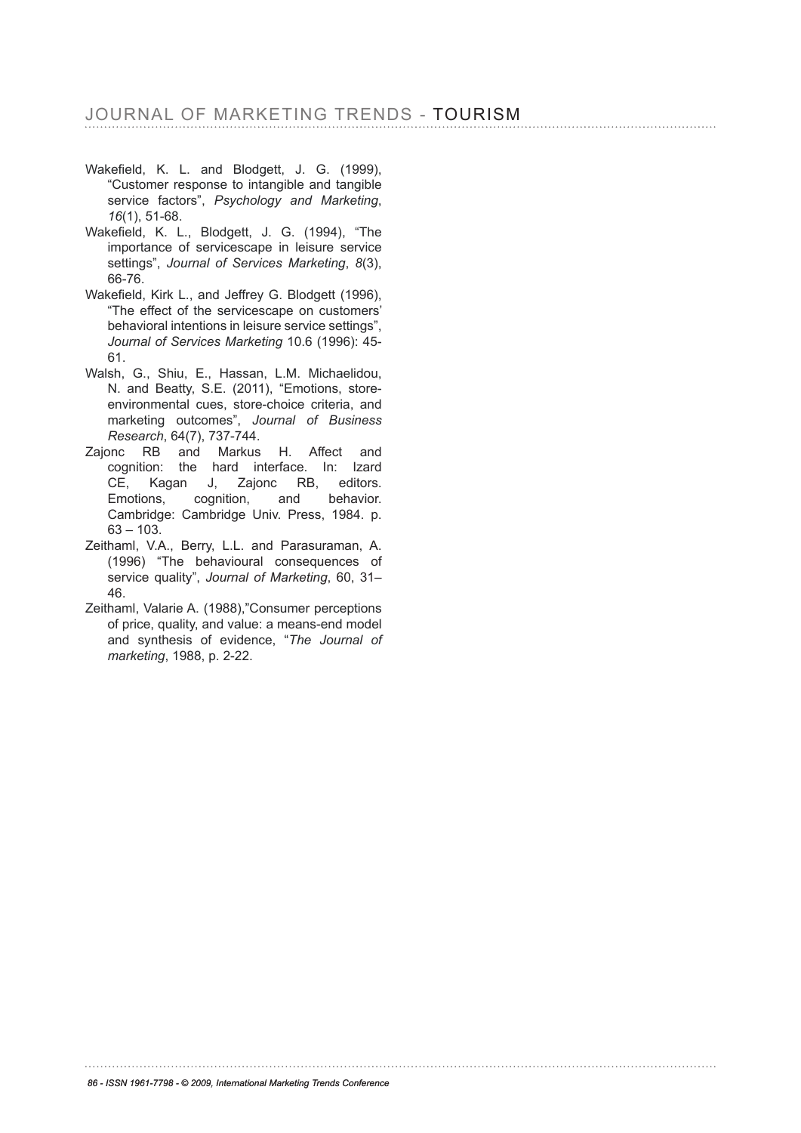- Wakefield, K. L. and Blodgett, J. G. (1999), "Customer response to intangible and tangible service factors", *Psychology and Marketing*, *16*(1), 51-68.
- Wakefield, K. L., Blodgett, J. G. (1994), "The importance of servicescape in leisure service settings", *Journal of Services Marketing*, *8*(3), 66-76.
- Wakefield, Kirk L., and Jeffrey G. Blodgett (1996), "The effect of the servicescape on customers' behavioral intentions in leisure service settings", *Journal of Services Marketing* 10.6 (1996): 45- 61.
- Walsh, G., Shiu, E., Hassan, L.M. Michaelidou, N. and Beatty, S.E. (2011), "Emotions, storeenvironmental cues, store-choice criteria, and marketing outcomes", *Journal of Business Research*, 64(7), 737-744.
- Zajonc RB and Markus H. Affect and cognition: the hard interface. In: Izard CE, Kagan J, Zajonc RB, editors. Emotions, cognition, and behavior. Cambridge: Cambridge Univ. Press, 1984. p.  $63 - 103$ .
- Zeithaml, V.A., Berry, L.L. and Parasuraman, A. (1996) "The behavioural consequences of service quality", *Journal of Marketing*, 60, 31– 46.
- Zeithaml, Valarie A. (1988),"Consumer perceptions of price, quality, and value: a means-end model and synthesis of evidence, "*The Journal of marketing*, 1988, p. 2-22.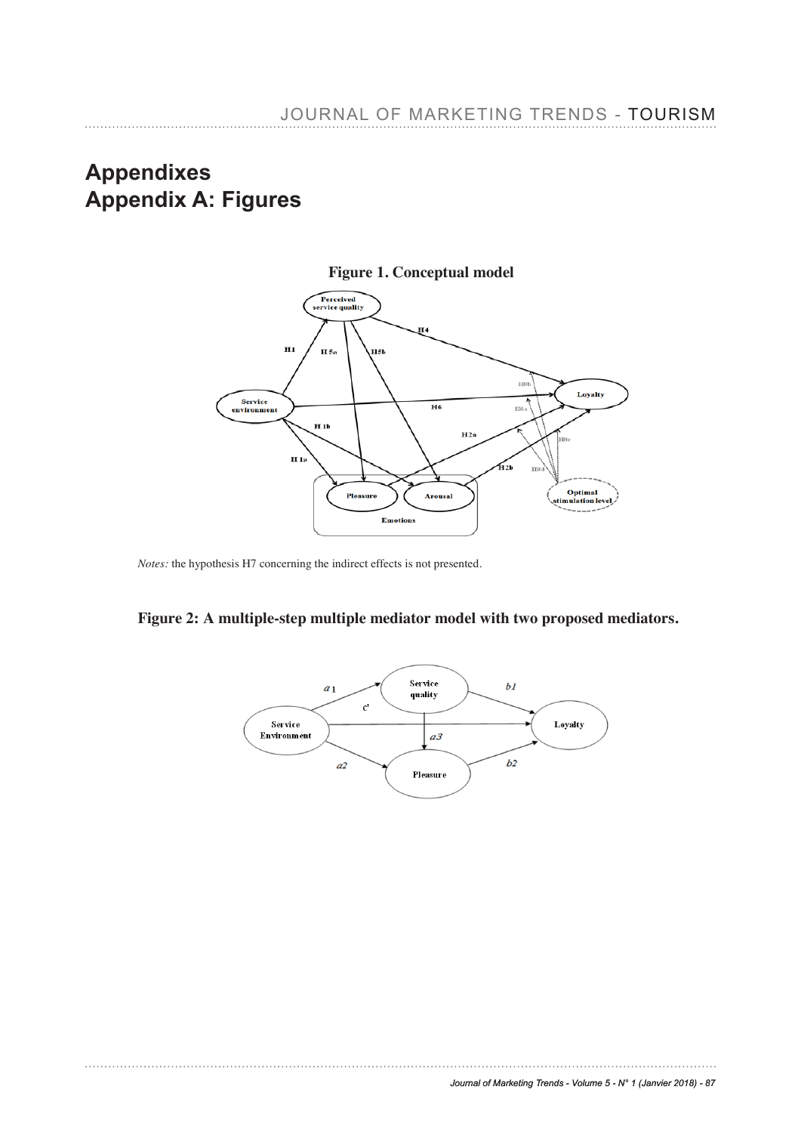# **Appendixes Appendix A: Figures**



# **Figure 1. Conceptual model**

*Notes:* the hypothesis H7 concerning the indirect effects is not presented.

# **Figure 2: A multiple-step multiple mediator model with two proposed mediators.**

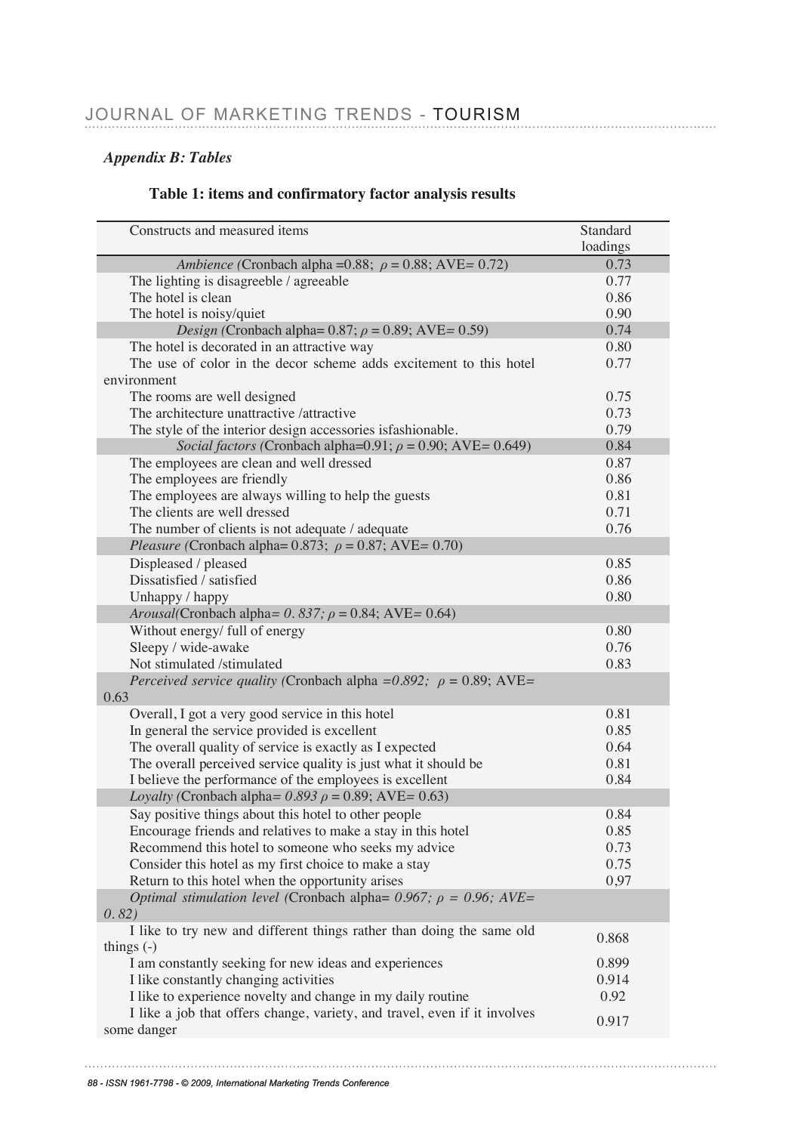# *Appendix B: Tables*

# **Table 1: items and confirmatory factor analysis results**

| Constructs and measured items                                                            | Standard |
|------------------------------------------------------------------------------------------|----------|
|                                                                                          | loadings |
| Ambience (Cronbach alpha = 0.88; $\rho = 0.88$ ; AVE = 0.72)                             | 0.73     |
| The lighting is disagreeble / agreeable                                                  | 0.77     |
| The hotel is clean                                                                       | 0.86     |
| The hotel is noisy/quiet                                                                 | 0.90     |
| Design (Cronbach alpha= $0.87$ ; $\rho = 0.89$ ; AVE= $0.59$ )                           | 0.74     |
| The hotel is decorated in an attractive way                                              | 0.80     |
| The use of color in the decor scheme adds excitement to this hotel                       | 0.77     |
| environment                                                                              |          |
| The rooms are well designed                                                              | 0.75     |
| The architecture unattractive /attractive                                                | 0.73     |
| The style of the interior design accessories isfashionable.                              | 0.79     |
| Social factors (Cronbach alpha=0.91; $\rho$ = 0.90; AVE= 0.649)                          | 0.84     |
| The employees are clean and well dressed                                                 | 0.87     |
| The employees are friendly                                                               | 0.86     |
| The employees are always willing to help the guests                                      | 0.81     |
| The clients are well dressed                                                             | 0.71     |
| The number of clients is not adequate / adequate                                         | 0.76     |
| <i>Pleasure</i> (Cronbach alpha= $0.873$ ; $\rho = 0.87$ ; AVE= 0.70)                    |          |
| Displeased / pleased                                                                     | 0.85     |
| Dissatisfied / satisfied                                                                 | 0.86     |
| Unhappy / happy                                                                          | 0.80     |
| Arousal(Cronbach alpha= 0.837; $\rho$ = 0.84; AVE= 0.64)                                 |          |
| Without energy/ full of energy                                                           | 0.80     |
| Sleepy / wide-awake                                                                      | 0.76     |
| Not stimulated /stimulated                                                               | 0.83     |
| <i>Perceived service quality (Cronbach alpha = 0.892; <math>\rho</math> = 0.89; AVE=</i> |          |
| 0.63                                                                                     |          |
| Overall, I got a very good service in this hotel                                         | 0.81     |
| In general the service provided is excellent                                             | 0.85     |
| The overall quality of service is exactly as I expected                                  | 0.64     |
| The overall perceived service quality is just what it should be                          | 0.81     |
| I believe the performance of the employees is excellent                                  | 0.84     |
| Loyalty (Cronbach alpha= $0.893 \rho = 0.89$ ; AVE= 0.63)                                |          |
| Say positive things about this hotel to other people                                     | 0.84     |
| Encourage friends and relatives to make a stay in this hotel                             | 0.85     |
| Recommend this hotel to someone who seeks my advice                                      | 0.73     |
| Consider this hotel as my first choice to make a stay                                    | 0.75     |
| Return to this hotel when the opportunity arises                                         | 0,97     |
| Optimal stimulation level (Cronbach alpha= $0.967$ ; $\rho = 0.96$ ; AVE=<br>(0.82)      |          |
| I like to try new and different things rather than doing the same old                    |          |
| things $(-)$                                                                             | 0.868    |
| I am constantly seeking for new ideas and experiences                                    | 0.899    |
| I like constantly changing activities                                                    | 0.914    |
| I like to experience novelty and change in my daily routine                              | 0.92     |
| I like a job that offers change, variety, and travel, even if it involves                | 0.917    |
| some danger                                                                              |          |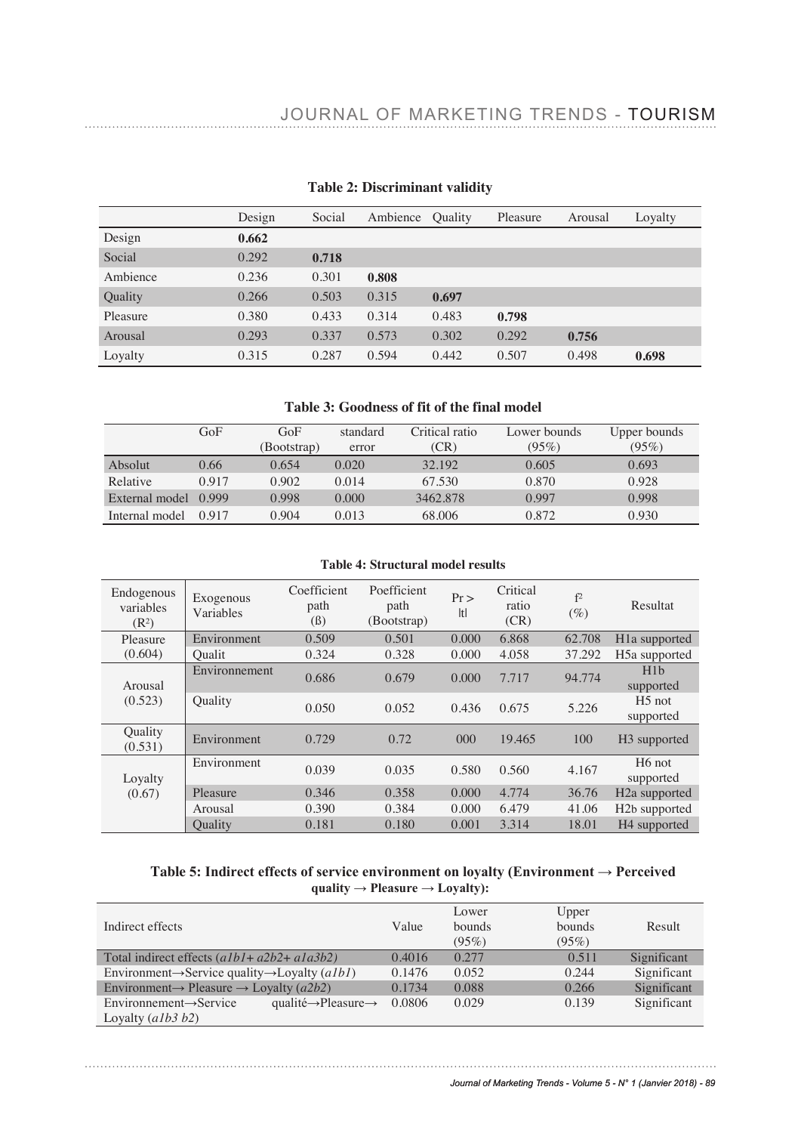|          | Design | Social | Ambience | <b>Quality</b> | Pleasure | Arousal | Loyalty |
|----------|--------|--------|----------|----------------|----------|---------|---------|
| Design   | 0.662  |        |          |                |          |         |         |
| Social   | 0.292  | 0.718  |          |                |          |         |         |
| Ambience | 0.236  | 0.301  | 0.808    |                |          |         |         |
| Quality  | 0.266  | 0.503  | 0.315    | 0.697          |          |         |         |
| Pleasure | 0.380  | 0.433  | 0.314    | 0.483          | 0.798    |         |         |
| Arousal  | 0.293  | 0.337  | 0.573    | 0.302          | 0.292    | 0.756   |         |
| Loyalty  | 0.315  | 0.287  | 0.594    | 0.442          | 0.507    | 0.498   | 0.698   |

# **Table 2: Discriminant validity**

# **Table 3: Goodness of fit of the final model**

|                | GoF   | GoF         | standard | Critical ratio | Lower bounds | Upper bounds |
|----------------|-------|-------------|----------|----------------|--------------|--------------|
|                |       | (Bootstrap) | error    | (CR)           | (95%)        | (95%)        |
| Absolut        | 0.66  | 0.654       | 0.020    | 32.192         | 0.605        | 0.693        |
| Relative       | 0.917 | 0.902       | 0.014    | 67.530         | 0.870        | 0.928        |
| External model | 0.999 | 0.998       | 0.000    | 3462.878       | 0.997        | 0.998        |
| Internal model | 0.917 | 0.904       | 0.013    | 68,006         | 0.872        | 0.930        |

# **Table 4: Structural model results**

| Endogenous<br>variables<br>(R <sup>2</sup> ) | Exogenous<br>Variables | Coefficient<br>path<br>(ß) | Poefficient<br>path<br>(Bootstrap) | Pr<br>Itl | Critical<br>ratio<br>(CR) | f <sup>2</sup><br>$(\%)$ | Resultat                        |
|----------------------------------------------|------------------------|----------------------------|------------------------------------|-----------|---------------------------|--------------------------|---------------------------------|
| Pleasure                                     | Environment            | 0.509                      | 0.501                              | 0.000     | 6.868                     | 62.708                   | H <sub>1</sub> a supported      |
| (0.604)                                      | <b>Oualit</b>          | 0.324                      | 0.328                              | 0.000     | 4.058                     | 37.292                   | H5a supported                   |
| Arousal                                      | Environnement          | 0.686                      | 0.679                              | 0.000     | 7.717                     | 94.774                   | H1b<br>supported                |
| (0.523)                                      | Quality                | 0.050                      | 0.052                              | 0.436     | 0.675                     | 5.226                    | $H5$ not<br>supported           |
| Quality<br>(0.531)                           | Environment            | 0.729                      | 0.72                               | 000       | 19.465                    | 100                      | H <sub>3</sub> supported        |
| Loyalty<br>(0.67)                            | Environment            | 0.039                      | 0.035                              | 0.580     | 0.560                     | 4.167                    | H <sub>6</sub> not<br>supported |
|                                              | Pleasure               | 0.346                      | 0.358                              | 0.000     | 4.774                     | 36.76                    | H <sub>2</sub> a supported      |
|                                              | Arousal                | 0.390                      | 0.384                              | 0.000     | 6.479                     | 41.06                    | H <sub>2</sub> b supported      |
|                                              | Ouality                | 0.181                      | 0.180                              | 0.001     | 3.314                     | 18.01                    | H <sub>4</sub> supported        |

# **Table 5: Indirect effects of service environment on loyalty (Environment → Perceived quality → Pleasure → Loyalty):**

| Indirect effects                                                                  | Value  | Lower<br>bounds<br>(95%) | Upper<br>bounds<br>(95%) | Result      |
|-----------------------------------------------------------------------------------|--------|--------------------------|--------------------------|-------------|
| Total indirect effects $(a1b1 + a2b2 + a1a3b2)$                                   | 0.4016 | 0.277                    | 0.511                    | Significant |
| Environment $\rightarrow$ Service quality $\rightarrow$ Loyalty (alb1)            | 0.1476 | 0.052                    | 0.244                    | Significant |
| Environment $\rightarrow$ Pleasure $\rightarrow$ Loyalty (a2b2)                   | 0.1734 | 0.088                    | 0.266                    | Significant |
| qualité $\rightarrow$ Pleasure $\rightarrow$<br>$Environment \rightarrow Service$ | 0.0806 | 0.029                    | 0.139                    | Significant |
| Loyalty $(a1b3 b2)$                                                               |        |                          |                          |             |